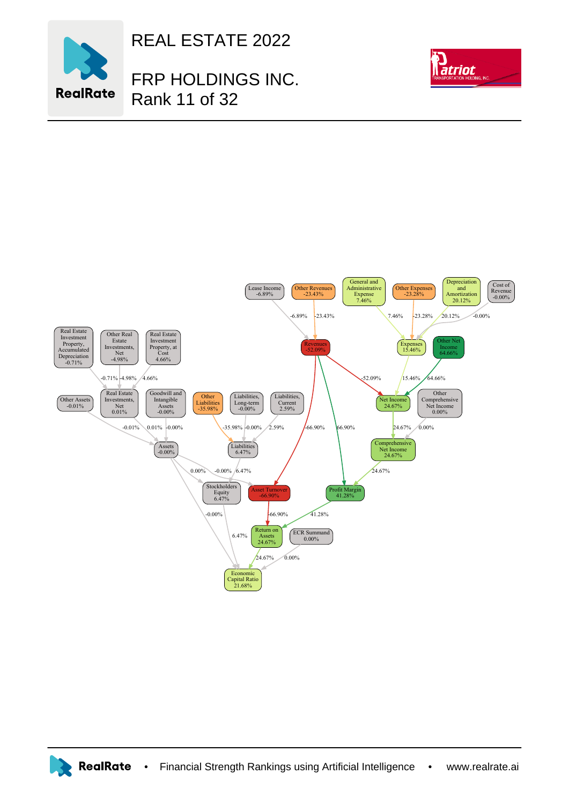

REAL ESTATE 2022

FRP HOLDINGS INC. Rank 11 of 32